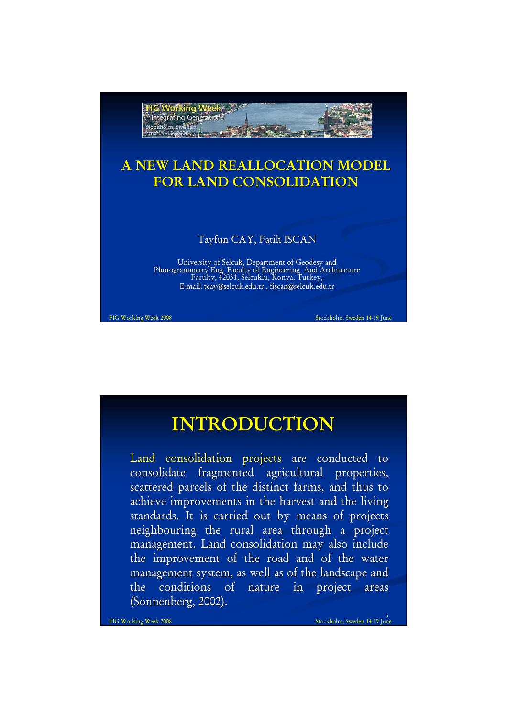

# **INTRODUCTION INTRODUCTION**

Land consolidation projects are conducted to consolidate fragmented agricultural properties, scattered parcels of the distinct farms, and thus to achieve improvements in the harvest and the living standards. It is carried out by means of projects neighbouring the rural area through a project management. Land consolidation may also include the improvement of the road and of the water management system, as well as of the landscape and the conditions of nature in project areas (Sonnenberg, 2002).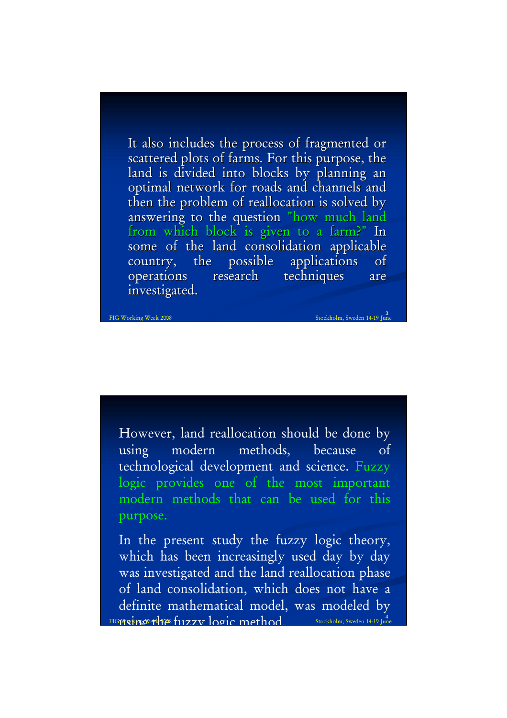It also includes the process of fragmented or scattered plots of farms. For this purpose, the land is divided into blocks by planning an optimal network for roads and channels and then the problem of reallocation is solved by answering to the question "how much land from which block is given to a farm?" In some of the land consolidation applicable country, the possible applications of operations research techniques are investigated.

3<br>FIG Working Week 2008 Stockholm, Sweden 14-19 June

However, land reallocation should be done by using modern methods, because of technological development and science. Fuzzy logic provides one of the most important modern methods that can be used for this purpose.

 $F$ IG Working Talkes fuzzy logic method. Stockholm, Sweden 14-19 June In the present study the fuzzy logic theory, which has been increasingly used day by day was investigated and the land reallocation phase of land consolidation, which does not have a definite mathematical model, was modeled by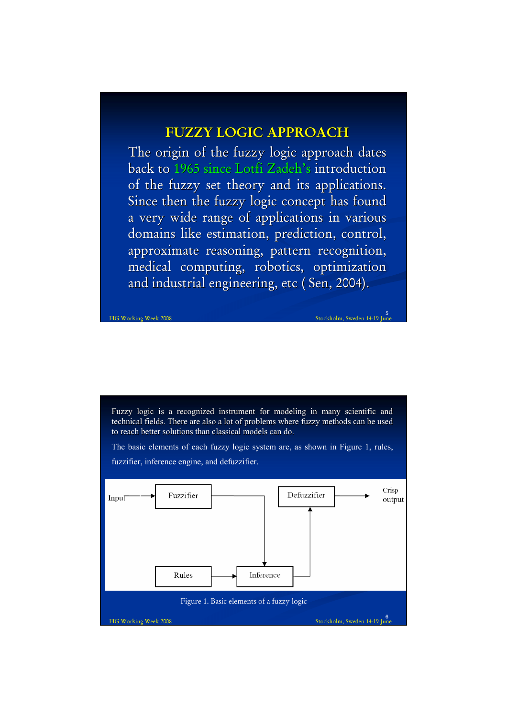## **FUZZY LOGIC APPROACH**

The origin of the fuzzy logic approach dates back to 1965 since Lotfi Zadeh's introduction of the fuzzy set theory and its applications. Since then the fuzzy logic concept has found a very wide range of applications in various domains like estimation, prediction, control, approximate reasoning, pattern recognition, medical computing, robotics, optimization and industrial engineering, etc ( Sen, 2004).

Fuzzy logic is a recognized instrument for modeling in many scientific and technical fields. There are also a lot of problems where fuzzy methods can be used to reach better solutions than classical models can do.

5 FIG Working Week 2008 Stockholm, Sweden 14-19 June

The basic elements of each fuzzy logic system are, as shown in Figure 1, rules,

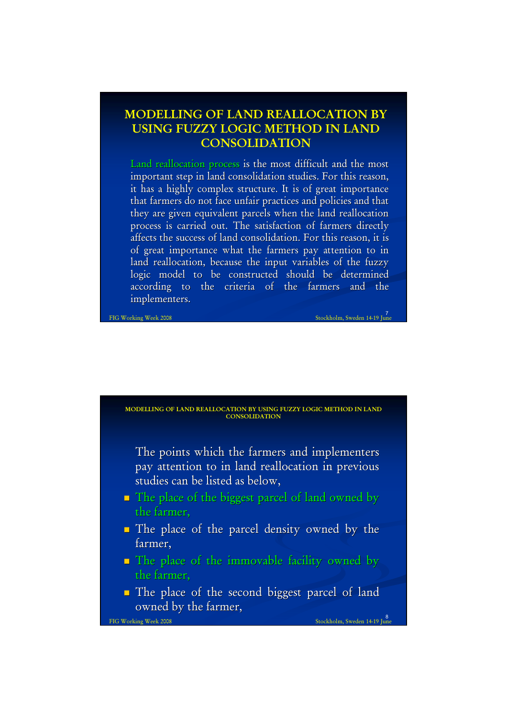### **MODELLING OF LAND REALLOCATION BY USING FUZZY LOGIC METHOD IN LAND CONSOLIDATION**

Land reallocation process is the most difficult and the most important step in land consolidation studies. For this reason, it has a highly complex structure. It is of great importance that farmers do not face unfair practices and policies and that they are given equivalent parcels when the land reallocation process is carried out. The satisfaction of farmers directly affects the success of land consolidation. For this reason, it is of great importance what the farmers pay attention to in land reallocation, because the input variables of the fuzzy logic model to be constructed should be determined according to the criteria of the farmers and the implementers.

7 FIG Working Week 2008 Stockholm, Sweden 14-19 June

#### **MODELLING OF LAND REALLOCATION BY USING FUZZY LOGIC METHOD IN LAND CONSOLIDATION**

The points which the farmers and implementers pay attention to in land reallocation in previous studies can be listed as below,

- $\blacksquare$  The place of the biggest parcel of land owned by the farmer,
- $\blacksquare$  The place of the parcel density owned by the farmer.
- $\blacksquare$  The place of the immovable facility owned by the farmer,
- The place of the second biggest parcel of land The place of the second biggest parcel of land owned by the farmer,

8 FIG Working Week 2008 Stockholm, Sweden 14-19 June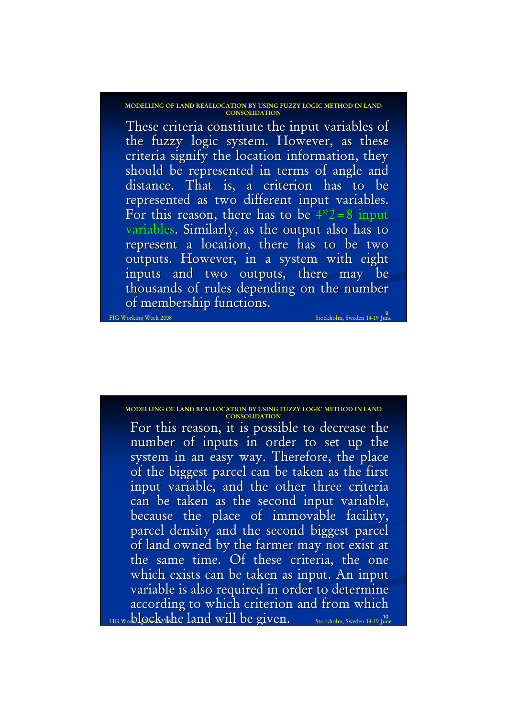**MODELLING OF LAND REALLOCATION BY USING FUZZY LOGIC METHOD IN LAND CONSOLIDATION**

9 These criteria constitute the input variables of the fuzzy logic system. However, as these criteria signify the location information, they should be represented in terms of angle and distance. That is, a criterion has to be represented as two different input variables. For this reason, there has to be  $4*2=8$  input variables. Similarly, as the output also has to represent a location, there has to be two outputs. However, in a system with eight inputs and two outputs, there may be thousands of rules depending on the number of membership functions.

### **MODELLING OF LAND REALLOCATION BY USING FUZZY LOGIC METHOD IN LAND**

FIG Working Week 2008 Stockholm, Sweden 14-19 June

 $\frac{1}{\text{FIG W}}$ o $\frac{1}{\text{D}}$ lock the land will be given.  $\frac{1}{\text{Stockholm, Sweden 14-19 June}}$ For this reason, it is possible to decrease the number of inputs in order to set up the system in an easy way. Therefore, the place of the biggest parcel can be taken as the first input variable, and the other three criteria can be taken as the second input variable, because the place of immovable facility, parcel density and the second biggest parcel of land owned by the farmer may not exist at the same time. Of these criteria, the one which exists can be taken as input. An input variable is also required in order to determine according to which criterion and from which **CONSOLIDATION**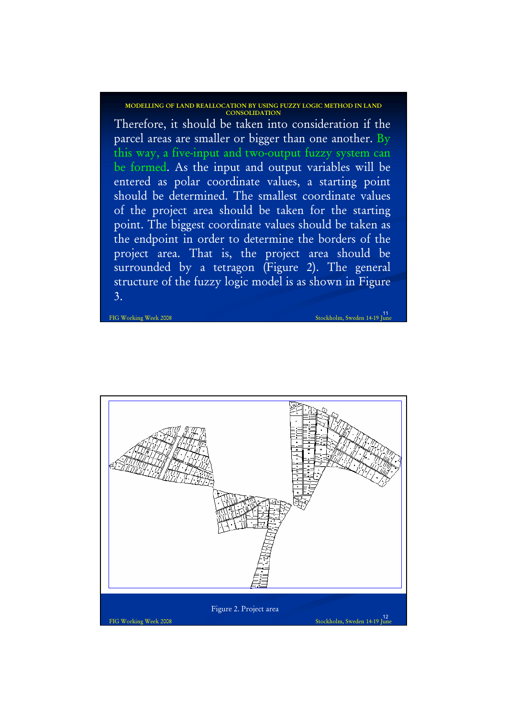**MODELLING OF LAND REALLOCATION BY USING FUZZY LOGIC METHOD IN LAND CONSOLIDATION**

Therefore, it should be taken into consideration if the parcel areas are smaller or bigger than one another. By this way, a five-input and two-output fuzzy system can be formed. As the input and output variables will be entered as polar coordinate values, a starting point should be determined. The smallest coordinate values of the project area should be taken for the starting point. The biggest coordinate values should be taken as the endpoint in order to determine the borders of the project area. That is, the project area should be surrounded by a tetragon (Figure 2). The general structure of the fuzzy logic model is as shown in Figure 3.

11<br>11 FIG Working Week 2008 Stockholm, Sweden 14-19 June

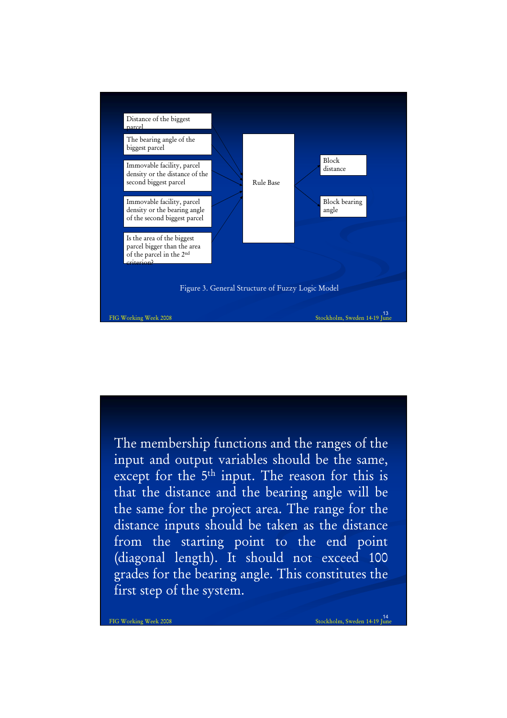

The membership functions and the ranges of the input and output variables should be the same, except for the 5<sup>th</sup> input. The reason for this is that the distance and the bearing angle will be the same for the project area. The range for the distance inputs should be taken as the distance from the starting point to the end point (diagonal length). It should not exceed 100 grades for the bearing angle. This constitutes the first step of the system.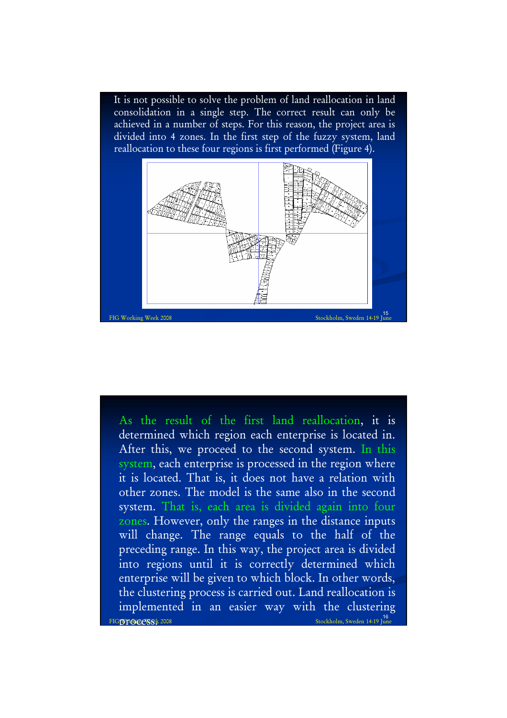It is not possible to solve the problem of land reallocation in land consolidation in a single step. The correct result can only be achieved in a number of steps. For this reason, the project area is divided into 4 zones. In the first step of the fuzzy system, land reallocation to these four regions is first performed (Figure 4).



16<br> Stockholm, Sweden 14-19 June As the result of the first land reallocation, it is determined which region each enterprise is located in. After this, we proceed to the second system. In this system, each enterprise is processed in the region where it is located. That is, it does not have a relation with other zones. The model is the same also in the second system. That is, each area is divided again into four zones. However, only the ranges in the distance inputs will change. The range equals to the half of the preceding range. In this way, the project area is divided into regions until it is correctly determined which enterprise will be given to which block. In other words, the clustering process is carried out. Land reallocation is implemented in an easier way with the clustering FIGIVE DECKS: 2008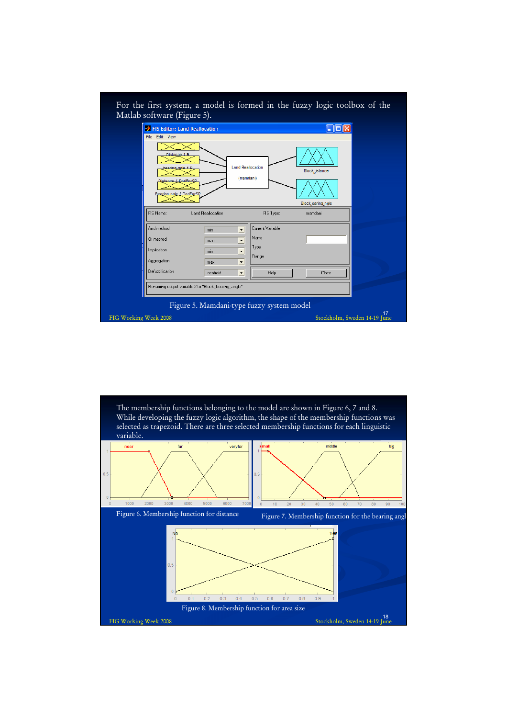

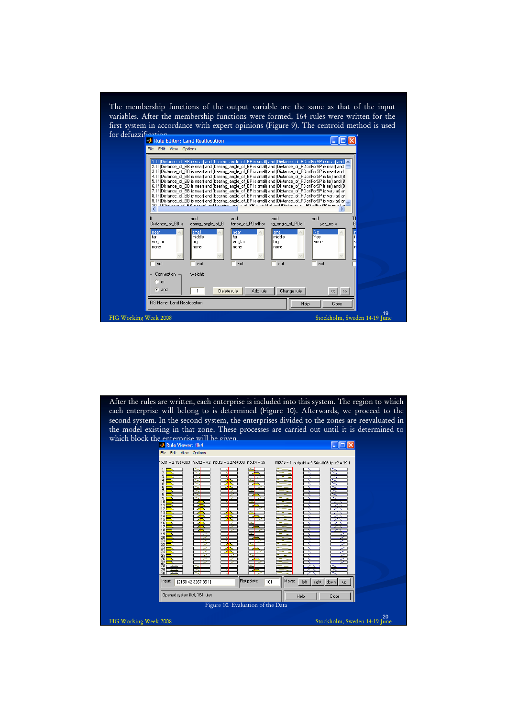The membership functions of the output variable are the same as that of the input variables. After the membership functions were formed, 164 rules were written for the first system in accordance with expert opinions (Figure 9). The centroid method is used



After the rules are written, each enterprise is included into this system. The region to which each enterprise will belong to is determined (Figure 10). Afterwards, we proceed to the second system. In the second system, the enterprises divided to the zones are reevaluated in the model existing in that zone. These processes are carried out until it is determined to which block the enterprise will be given.  $\Box$ olx Edit View Options  $\overline{\phantom{a}}$ =  $2.15e+003$  input2 =  $42$  input3 =  $3.27e+003$  input4 =  $35$ input5 = 1 output1 =  $3.54e+008$ utput2 =  $39.7$ Input [2150 42 3267 35 1] Plot points:  $\boxed{101}$ **Move** left right down  $up$ Opened system ilk4, 164 rules **Help** Close Figure 10. Evaluation of the Data 20 FIG Working Week 2008 Stockholm, Sweden 14-19 June